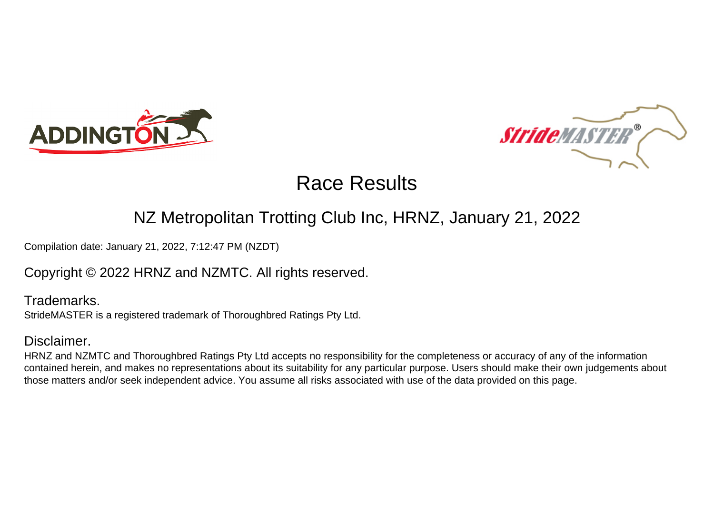



## NZ Metropolitan Trotting Club Inc, HRNZ, January 21, 2022

Compilation date: January 21, 2022, 7:12:47 PM (NZDT)

## Copyright © 2022 HRNZ and NZMTC. All rights reserved.

Trademarks. StrideMASTER is a registered trademark of Thoroughbred Ratings Pty Ltd.

## Disclaimer.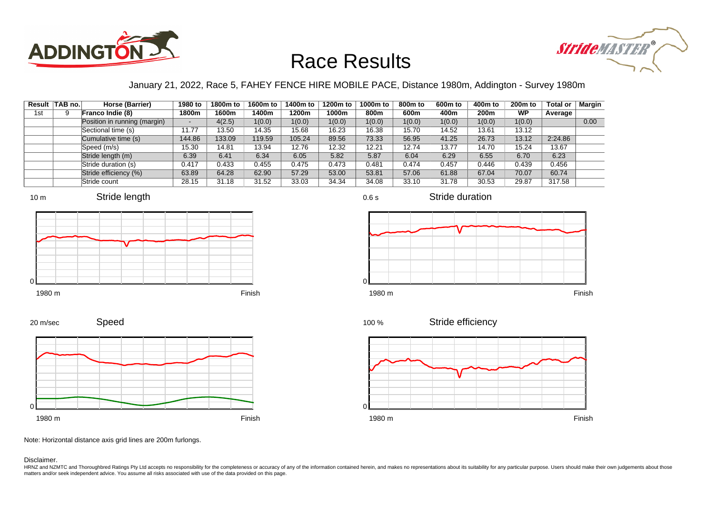



### January 21, 2022, Race 5, FAHEY FENCE HIRE MOBILE PACE, Distance 1980m, Addington - Survey 1980m

|     | Result TAB no. | Horse (Barrier)              | 1980 to                  | 1800m to | 1600m to | 1400m to | 1200m to | 1000m to | 800m to | 600 <sub>m</sub> to | 400m to | 200 <sub>m</sub> to | <b>Total or</b> | Margin |
|-----|----------------|------------------------------|--------------------------|----------|----------|----------|----------|----------|---------|---------------------|---------|---------------------|-----------------|--------|
| 1st |                | Franco Indie (8)             | 1800m                    | 1600m    | 1400m    | 1200m    | 1000m    | 800m     | 600m    | 400m                | 200m    | WP                  | Average         |        |
|     |                | Position in running (margin) | $\overline{\phantom{a}}$ | 4(2.5)   | 1(0.0)   | 1(0.0)   | 1(0.0)   | 1(0.0)   | 1(0.0)  | 1(0.0)              | 1(0.0)  | 1(0.0)              |                 | 0.00   |
|     |                | Sectional time (s)           | 11.77                    | 13.50    | 14.35    | 15.68    | 16.23    | 16.38    | 15.70   | 14.52               | 13.61   | 13.12               |                 |        |
|     |                | Cumulative time (s)          | 144.86                   | 133.09   | 119.59   | 105.24   | 89.56    | 73.33    | 56.95   | 41.25               | 26.73   | 13.12               | 2:24.86         |        |
|     |                | Speed (m/s)                  | 15.30                    | 14.81    | 13.94    | 12.76    | 12.32    | 12.21    | 12.74   | 13.77               | 14.70   | 15.24               | 13.67           |        |
|     |                | Stride length (m)            | 6.39                     | 6.41     | 6.34     | 6.05     | 5.82     | 5.87     | 6.04    | 6.29                | 6.55    | 6.70                | 6.23            |        |
|     |                | Stride duration (s)          | 0.417                    | 0.433    | 0.455    | 0.475    | 0.473    | 0.481    | 0.474   | 0.457               | 0.446   | 0.439               | 0.456           |        |
|     |                | Stride efficiency (%)        | 63.89                    | 64.28    | 62.90    | 57.29    | 53.00    | 53.81    | 57.06   | 61.88               | 67.04   | 70.07               | 60.74           |        |
|     |                | Stride count                 | 28.15                    | 31.18    | 31.52    | 33.03    | 34.34    | 34.08    | 33.10   | 31.78               | 30.53   | 29.87               | 317.58          |        |













Stride duration

Speed 20 m/sec



Note: Horizontal distance axis grid lines are 200m furlongs.

Disclaimer.

HRNZ and NZMTC and Thoroughbred Ratings Pty Ltd accepts no responsibility for the completeness or accuracy of any of the information contained herein, and makes no representations about its suitability for any particular p matters and/or seek independent advice. You assume all risks associated with use of the data provided on this page.

0.6 s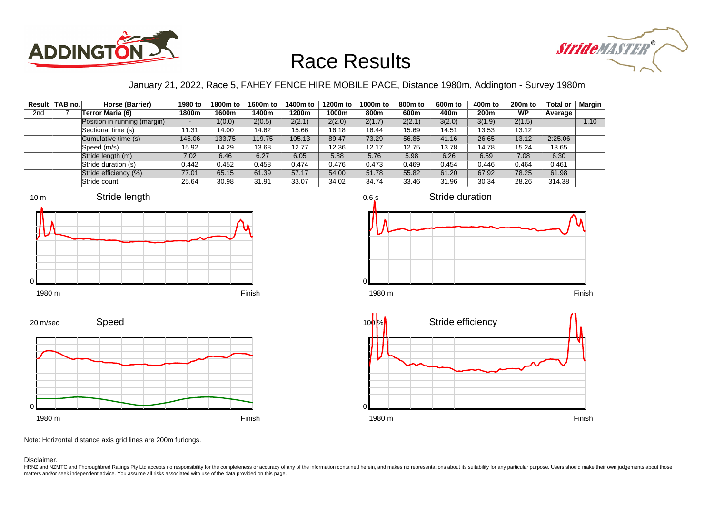



### January 21, 2022, Race 5, FAHEY FENCE HIRE MOBILE PACE, Distance 1980m, Addington - Survey 1980m

|                 | Result TAB no. | Horse (Barrier)              | 1980 to | 1800m to | 1600m to | 1400m to | 1200m to | 1000m to | 800m to | 600m to | 400m to | 200 <sub>m</sub> to | <b>Total or</b> | <b>Margin</b> |
|-----------------|----------------|------------------------------|---------|----------|----------|----------|----------|----------|---------|---------|---------|---------------------|-----------------|---------------|
| 2 <sub>nd</sub> |                | Terror Maria (6)             | 1800m   | 1600m    | 1400m    | 1200m    | 1000m    | 800m     | 600m    | 400m    | 200m    | <b>WP</b>           | Average         |               |
|                 |                | Position in running (margin) |         | 1(0.0)   | 2(0.5)   | 2(2.1)   | 2(2.0)   | 2(1.7)   | 2(2.1)  | 3(2.0)  | 3(1.9)  | 2(1.5)              |                 | 1.10          |
|                 |                | Sectional time (s)           | 11.31   | 14.00    | 14.62    | 15.66    | 16.18    | 16.44    | 15.69   | 14.51   | 13.53   | 13.12               |                 |               |
|                 |                | Cumulative time (s)          | 145.06  | 133.75   | 119.75   | 105.13   | 89.47    | 73.29    | 56.85   | 41.16   | 26.65   | 13.12               | 2:25.06         |               |
|                 |                | Speed (m/s)                  | 15.92   | 14.29    | 13.68    | 12.77    | 12.36    | 12.17    | 12.75   | 13.78   | 14.78   | 15.24               | 13.65           |               |
|                 |                | Stride length (m)            | 7.02    | 6.46     | 6.27     | 6.05     | 5.88     | 5.76     | 5.98    | 6.26    | 6.59    | 7.08                | 6.30            |               |
|                 |                | Stride duration (s)          | 0.442   | 0.452    | 0.458    | 0.474    | 0.476    | 0.473    | 0.469   | 0.454   | 0.446   | 0.464               | 0.461           |               |
|                 |                | Stride efficiency (%)        | 77.01   | 65.15    | 61.39    | 57.17    | 54.00    | 51.78    | 55.82   | 61.20   | 67.92   | 78.25               | 61.98           |               |
|                 |                | Stride count                 | 25.64   | 30.98    | 31.91    | 33.07    | 34.02    | 34.74    | 33.46   | 31.96   | 30.34   | 28.26               | 314.38          |               |









Note: Horizontal distance axis grid lines are 200m furlongs.

### Disclaimer.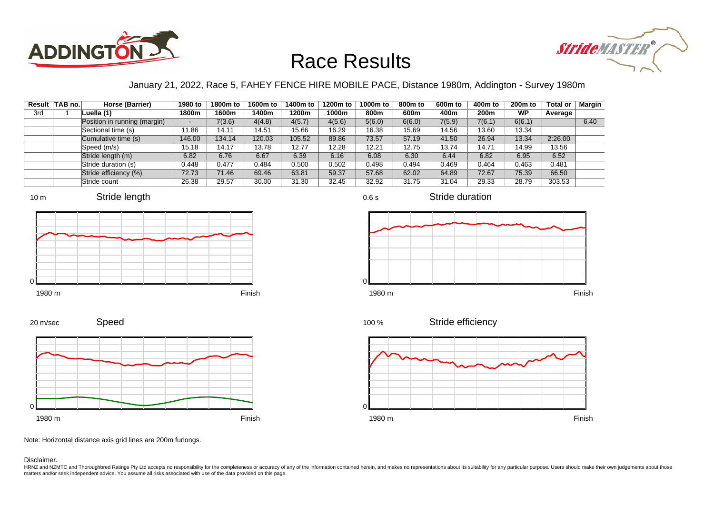



### January 21, 2022, Race 5, FAHEY FENCE HIRE MOBILE PACE, Distance 1980m, Addington - Survey 1980m

|     | Result   TAB no. | Horse (Barrier)              | 1980 to | 1800m to | 1600m to | 1400m to | 1200m to | 1000m to | 800m to | 600 <sub>m</sub> to | 400m to          | 200 <sub>m</sub> to | <b>Total or</b> | Margin |
|-----|------------------|------------------------------|---------|----------|----------|----------|----------|----------|---------|---------------------|------------------|---------------------|-----------------|--------|
| 3rd |                  | Luella (1)                   | 1800m   | 1600m    | 1400m    | 1200m    | 1000m    | 800m     | 600m    | 400m                | 200 <sub>m</sub> | <b>WP</b>           | Average         |        |
|     |                  | Position in running (margin) |         | 7(3.6)   | 4(4.8)   | 4(5.7)   | 4(5.6)   | 5(6.0)   | 6(6.0)  | 7(5.9)              | 7(6.1)           | 6(6.1)              |                 | 6.40   |
|     |                  | Sectional time (s)           | 11.86   | 14.11    | 14.51    | 15.66    | 16.29    | 16.38    | 15.69   | 14.56               | 13.60            | 13.34               |                 |        |
|     |                  | Cumulative time (s)          | 146.00  | 134.14   | 120.03   | 105.52   | 89.86    | 73.57    | 57.19   | 41.50               | 26.94            | 13.34               | 2:26.00         |        |
|     |                  | Speed (m/s)                  | 15.18   | 14.17    | 13.78    | 12.77    | 12.28    | 12.21    | 12.75   | 13.74               | 14.71            | 14.99               | 13.56           |        |
|     |                  | Stride length (m)            | 6.82    | 6.76     | 6.67     | 6.39     | 6.16     | 6.08     | 6.30    | 6.44                | 6.82             | 6.95                | 6.52            |        |
|     |                  | Stride duration (s)          | 0.448   | 0.477    | 0.484    | 0.500    | 0.502    | 0.498    | 0.494   | 0.469               | 0.464            | 0.463               | 0.481           |        |
|     |                  | Stride efficiency (%)        | 72.73   | 71.46    | 69.46    | 63.81    | 59.37    | 57.68    | 62.02   | 64.89               | 72.67            | 75.39               | 66.50           |        |
|     |                  | Stride count                 | 26.38   | 29.57    | 30.00    | 31.30    | 32.45    | 32.92    | 31.75   | 31.04               | 29.33            | 28.79               | 303.53          |        |













Speed 20 m/sec



Note: Horizontal distance axis grid lines are 200m furlongs.

Disclaimer.

HRNZ and NZMTC and Thoroughbred Ratings Pty Ltd accepts no responsibility for the completeness or accuracy of any of the information contained herein, and makes no representations about its suitability for any particular p matters and/or seek independent advice. You assume all risks associated with use of the data provided on this page.

0.6 s

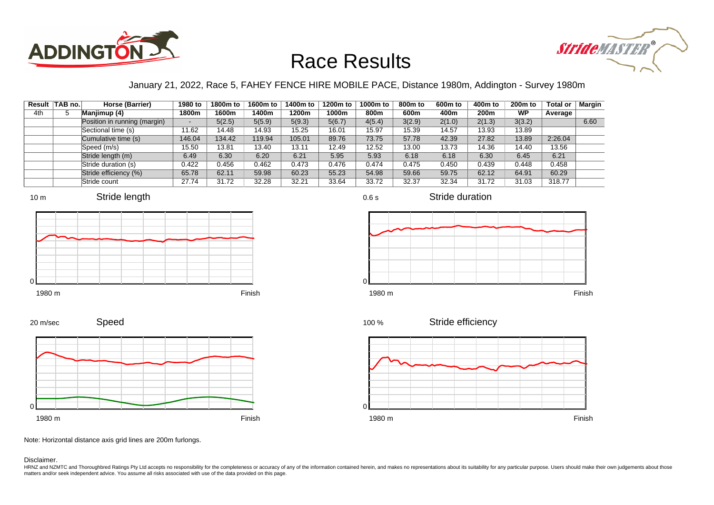



### January 21, 2022, Race 5, FAHEY FENCE HIRE MOBILE PACE, Distance 1980m, Addington - Survey 1980m

|     | Result TAB no. | Horse (Barrier)              | 1980 to                  | 1800m to | 1600m to | 1400m to | 1200m to | 1000m to | 800m to | 600 <sub>m</sub> to | 400m to | 200 <sub>m</sub> to | <b>Total or</b> | <b>Margin</b> |
|-----|----------------|------------------------------|--------------------------|----------|----------|----------|----------|----------|---------|---------------------|---------|---------------------|-----------------|---------------|
| 4th |                | Manjimup (4)                 | 1800m                    | 1600m    | 1400m    | 1200m    | 1000m    | 800m     | 600m    | 400m                | 200m    | <b>WP</b>           | Average         |               |
|     |                | Position in running (margin) | $\overline{\phantom{0}}$ | 5(2.5)   | 5(5.9)   | 5(9.3)   | 5(6.7)   | 4(5.4)   | 3(2.9)  | 2(1.0)              | 2(1.3)  | 3(3.2)              |                 | 6.60          |
|     |                | Sectional time (s)           | 11.62                    | 14.48    | 14.93    | 15.25    | 16.01    | 15.97    | 15.39   | 14.57               | 13.93   | 13.89               |                 |               |
|     |                | Cumulative time (s)          | 146.04                   | 134.42   | 119.94   | 105.01   | 89.76    | 73.75    | 57.78   | 42.39               | 27.82   | 13.89               | 2:26.04         |               |
|     |                | Speed (m/s)                  | 15.50                    | 13.81    | 13.40    | 13.11    | 12.49    | 12.52    | 13.00   | 13.73               | 14.36   | 14.40               | 13.56           |               |
|     |                | Stride length (m)            | 6.49                     | 6.30     | 6.20     | 6.21     | 5.95     | 5.93     | 6.18    | 6.18                | 6.30    | 6.45                | 6.21            |               |
|     |                | Stride duration (s)          | 0.422                    | 0.456    | 0.462    | 0.473    | 0.476    | 0.474    | 0.475   | 0.450               | 0.439   | 0.448               | 0.458           |               |
|     |                | Stride efficiency (%)        | 65.78                    | 62.11    | 59.98    | 60.23    | 55.23    | 54.98    | 59.66   | 59.75               | 62.12   | 64.91               | 60.29           |               |
|     |                | Stride count                 | 27.74                    | 31.72    | 32.28    | 32.21    | 33.64    | 33.72    | 32.37   | 32.34               | 31.72   | 31.03               | 318.77          |               |













### 1980 m Finish



Stride efficiency

Stride duration



Note: Horizontal distance axis grid lines are 200m furlongs.

### Disclaimer.

0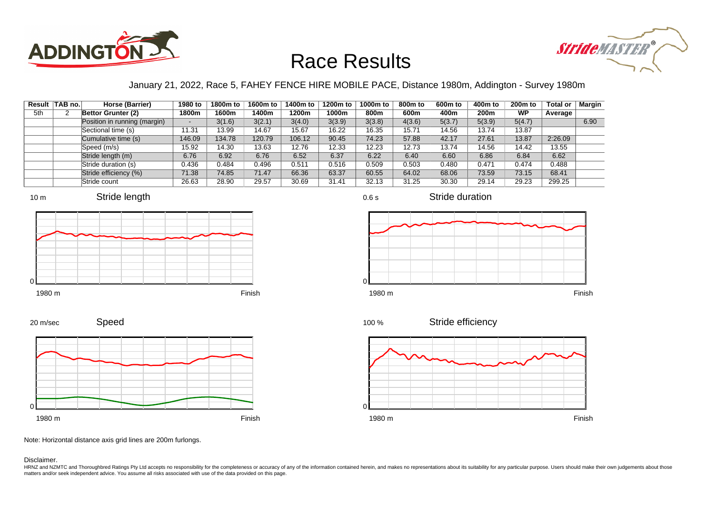



### January 21, 2022, Race 5, FAHEY FENCE HIRE MOBILE PACE, Distance 1980m, Addington - Survey 1980m

0.6 s

|     | Result TAB no. | Horse (Barrier)              | 1980 to | 1800m to | 1600m to | 1400m to | 1200m to | 1000m to | 800 <sub>m</sub> to | 600m to | 400m to | 200 <sub>m</sub> to | <b>Total or</b> | Margin |
|-----|----------------|------------------------------|---------|----------|----------|----------|----------|----------|---------------------|---------|---------|---------------------|-----------------|--------|
| 5th |                | Bettor Grunter (2)           | 1800m   | 1600m    | 1400m    | 1200m    | 1000m    | 800m     | 600m                | 400m    | 200m    | WP                  | Average         |        |
|     |                | Position in running (margin) | -       | 3(1.6)   | 3(2.1)   | 3(4.0)   | 3(3.9)   | 3(3.8)   | 4(3.6)              | 5(3.7)  | 5(3.9)  | 5(4.7)              |                 | 6.90   |
|     |                | Sectional time (s)           | 11.31   | 13.99    | 14.67    | 15.67    | 16.22    | 16.35    | 15.71               | 14.56   | 13.74   | 13.87               |                 |        |
|     |                | Cumulative time (s)          | 146.09  | 134.78   | 120.79   | 106.12   | 90.45    | 74.23    | 57.88               | 42.17   | 27.61   | 13.87               | 2:26.09         |        |
|     |                | Speed (m/s)                  | 15.92   | 14.30    | 13.63    | 12.76    | 12.33    | 12.23    | 12.73               | 13.74   | 14.56   | 14.42               | 13.55           |        |
|     |                | Stride length (m)            | 6.76    | 6.92     | 6.76     | 6.52     | 6.37     | 6.22     | 6.40                | 6.60    | 6.86    | 6.84                | 6.62            |        |
|     |                | Stride duration (s)          | 0.436   | 0.484    | 0.496    | 0.511    | 0.516    | 0.509    | 0.503               | 0.480   | 0.471   | 0.474               | 0.488           |        |
|     |                | Stride efficiency (%)        | 71.38   | 74.85    | 71.47    | 66.36    | 63.37    | 60.55    | 64.02               | 68.06   | 73.59   | 73.15               | 68.41           |        |
|     |                | Stride count                 | 26.63   | 28.90    | 29.57    | 30.69    | 31.41    | 32.13    | 31.25               | 30.30   | 29.14   | 29.23               | 299.25          |        |







Stride duration











Note: Horizontal distance axis grid lines are 200m furlongs.

Disclaimer.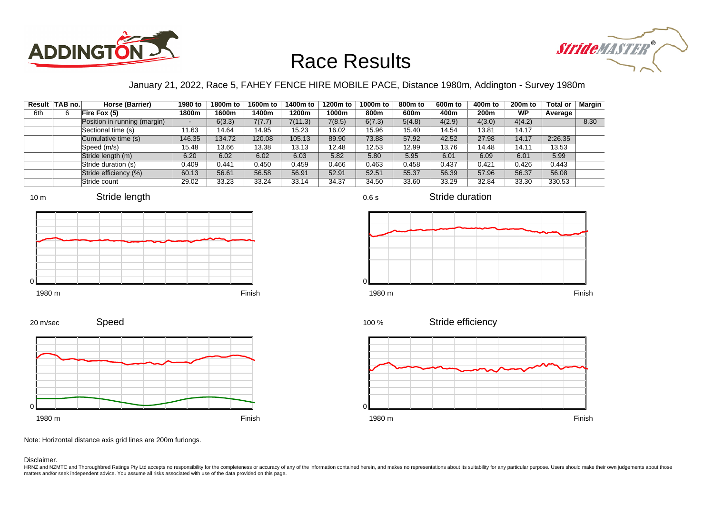



### January 21, 2022, Race 5, FAHEY FENCE HIRE MOBILE PACE, Distance 1980m, Addington - Survey 1980m

|     | Result TAB no. | Horse (Barrier)              | 1980 to                  | 1800m to | 1600m to | 1400m to | 1200m to | 1000m to | 800m to | 600 <sub>m</sub> to | 400m to | 200 <sub>m</sub> to | <b>Total or</b> | Margin |
|-----|----------------|------------------------------|--------------------------|----------|----------|----------|----------|----------|---------|---------------------|---------|---------------------|-----------------|--------|
| 6th | 6              | Fire Fox $(5)$               | 1800m                    | 1600m    | 1400m    | 1200m    | 1000m    | 800m     | 600m    | 400m                | 200m    | WP                  | Average         |        |
|     |                | Position in running (margin) | $\overline{\phantom{0}}$ | 6(3.3)   | 7(7.7)   | 7(11.3)  | 7(8.5)   | 6(7.3)   | 5(4.8)  | 4(2.9)              | 4(3.0)  | 4(4.2)              |                 | 8.30   |
|     |                | Sectional time (s)           | 11.63                    | 14.64    | 14.95    | 15.23    | 16.02    | 15.96    | 15.40   | 14.54               | 13.81   | 14.17               |                 |        |
|     |                | Cumulative time (s)          | 146.35                   | 134.72   | 120.08   | 105.13   | 89.90    | 73.88    | 57.92   | 42.52               | 27.98   | 14.17               | 2:26.35         |        |
|     |                | Speed (m/s)                  | 15.48                    | 13.66    | 13.38    | 13.13    | 12.48    | 12.53    | 12.99   | 13.76               | 14.48   | 14.11               | 13.53           |        |
|     |                | Stride length (m)            | 6.20                     | 6.02     | 6.02     | 6.03     | 5.82     | 5.80     | 5.95    | 6.01                | 6.09    | 6.01                | 5.99            |        |
|     |                | Stride duration (s)          | 0.409                    | 0.441    | 0.450    | 0.459    | 0.466    | 0.463    | 0.458   | 0.437               | 0.421   | 0.426               | 0.443           |        |
|     |                | Stride efficiency (%)        | 60.13                    | 56.61    | 56.58    | 56.91    | 52.91    | 52.51    | 55.37   | 56.39               | 57.96   | 56.37               | 56.08           |        |
|     |                | Stride count                 | 29.02                    | 33.23    | 33.24    | 33.14    | 34.37    | 34.50    | 33.60   | 33.29               | 32.84   | 33.30               | 330.53          |        |









0.6 s

Stride duration



Stride efficiency 100 %



Note: Horizontal distance axis grid lines are 200m furlongs.

Speed

### Disclaimer.

20 m/sec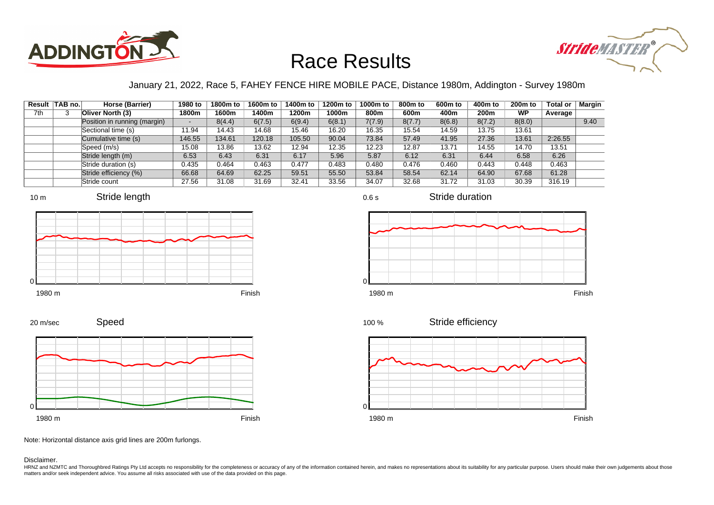



### January 21, 2022, Race 5, FAHEY FENCE HIRE MOBILE PACE, Distance 1980m, Addington - Survey 1980m

0.6 s

|     | Result TAB no. | Horse (Barrier)              | 1980 to                  | 1800m to | 1600m to | 1400m to | 1200m to | 1000m to | 800m to | 600 <sub>m</sub> to | 400m to | 200 <sub>m</sub> to | <b>Total or</b> | Margin |
|-----|----------------|------------------------------|--------------------------|----------|----------|----------|----------|----------|---------|---------------------|---------|---------------------|-----------------|--------|
| 7th |                | Oliver North (3)             | 1800m                    | 1600m    | 1400m    | 1200m    | 1000m    | 800m     | 600m    | 400m                | 200m    | <b>WP</b>           | Average         |        |
|     |                | Position in running (margin) | $\overline{\phantom{0}}$ | 8(4.4)   | 6(7.5)   | 6(9.4)   | 6(8.1)   | 7(7.9)   | 8(7.7)  | 8(6.8)              | 8(7.2)  | 8(8.0)              |                 | 9.40   |
|     |                | Sectional time (s)           | 11.94                    | 14.43    | 14.68    | 15.46    | 16.20    | 16.35    | 15.54   | 14.59               | 13.75   | 13.61               |                 |        |
|     |                | Cumulative time (s)          | 146.55                   | 134.61   | 120.18   | 105.50   | 90.04    | 73.84    | 57.49   | 41.95               | 27.36   | 13.61               | 2:26.55         |        |
|     |                | Speed (m/s)                  | 15.08                    | 13.86    | 13.62    | 12.94    | 12.35    | 12.23    | 12.87   | 13.71               | 14.55   | 14.70               | 13.51           |        |
|     |                | Stride length (m)            | 6.53                     | 6.43     | 6.31     | 6.17     | 5.96     | 5.87     | 6.12    | 6.31                | 6.44    | 6.58                | 6.26            |        |
|     |                | Stride duration (s)          | 0.435                    | 0.464    | 0.463    | 0.477    | 0.483    | 0.480    | 0.476   | 0.460               | 0.443   | 0.448               | 0.463           |        |
|     |                | Stride efficiency (%)        | 66.68                    | 64.69    | 62.25    | 59.51    | 55.50    | 53.84    | 58.54   | 62.14               | 64.90   | 67.68               | 61.28           |        |
|     |                | Stride count                 | 27.56                    | 31.08    | 31.69    | 32.41    | 33.56    | 34.07    | 32.68   | 31.72               | 31.03   | 30.39               | 316.19          |        |









Stride duration







Speed 20 m/sec



Note: Horizontal distance axis grid lines are 200m furlongs.

#### Disclaimer.